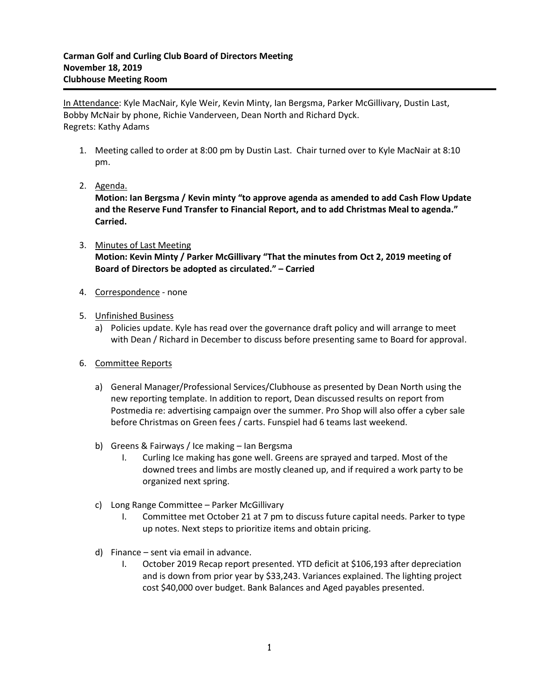In Attendance: Kyle MacNair, Kyle Weir, Kevin Minty, Ian Bergsma, Parker McGillivary, Dustin Last, Bobby McNair by phone, Richie Vanderveen, Dean North and Richard Dyck. Regrets: Kathy Adams

- 1. Meeting called to order at 8:00 pm by Dustin Last. Chair turned over to Kyle MacNair at 8:10 pm.
- 2. Agenda.

**Motion: Ian Bergsma / Kevin minty "to approve agenda as amended to add Cash Flow Update and the Reserve Fund Transfer to Financial Report, and to add Christmas Meal to agenda." Carried.**

- 3. Minutes of Last Meeting **Motion: Kevin Minty / Parker McGillivary "That the minutes from Oct 2, 2019 meeting of Board of Directors be adopted as circulated." – Carried**
- 4. Correspondence none
- 5. Unfinished Business
	- a) Policies update. Kyle has read over the governance draft policy and will arrange to meet with Dean / Richard in December to discuss before presenting same to Board for approval.
- 6. Committee Reports
	- a) General Manager/Professional Services/Clubhouse as presented by Dean North using the new reporting template. In addition to report, Dean discussed results on report from Postmedia re: advertising campaign over the summer. Pro Shop will also offer a cyber sale before Christmas on Green fees / carts. Funspiel had 6 teams last weekend.
	- b) Greens & Fairways / Ice making Ian Bergsma
		- I. Curling Ice making has gone well. Greens are sprayed and tarped. Most of the downed trees and limbs are mostly cleaned up, and if required a work party to be organized next spring.
	- c) Long Range Committee Parker McGillivary
		- I. Committee met October 21 at 7 pm to discuss future capital needs. Parker to type up notes. Next steps to prioritize items and obtain pricing.
	- d) Finance sent via email in advance.
		- I. October 2019 Recap report presented. YTD deficit at \$106,193 after depreciation and is down from prior year by \$33,243. Variances explained. The lighting project cost \$40,000 over budget. Bank Balances and Aged payables presented.